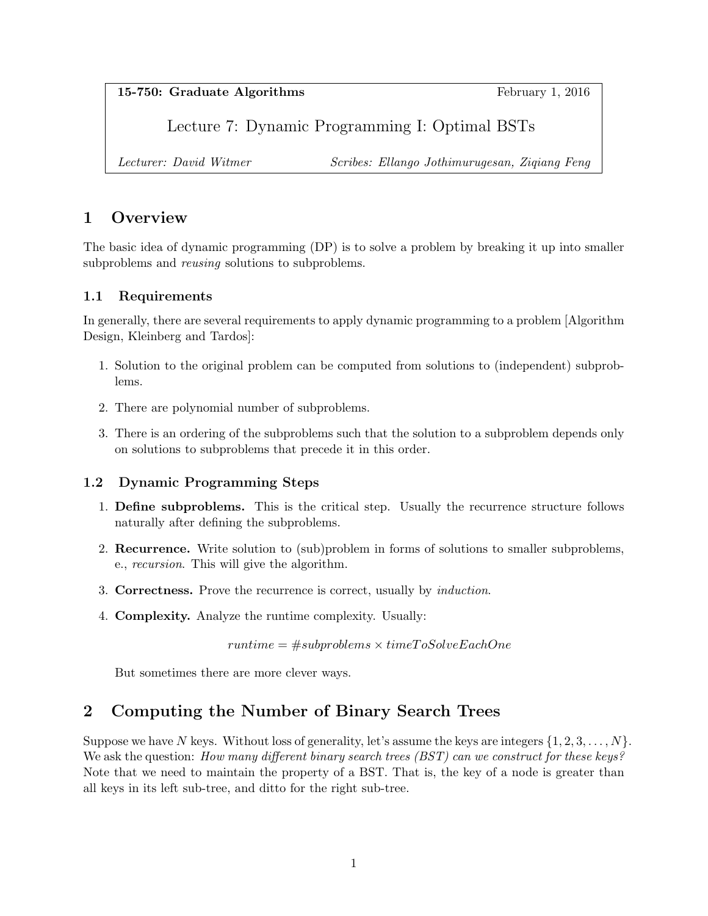## 15-750: Graduate Algorithms February 1, 2016

Lecture 7: Dynamic Programming I: Optimal BSTs

Lecturer: David Witmer Scribes: Ellango Jothimurugesan, Ziqiang Feng

# 1 Overview

The basic idea of dynamic programming (DP) is to solve a problem by breaking it up into smaller subproblems and *reusing* solutions to subproblems.

# 1.1 Requirements

In generally, there are several requirements to apply dynamic programming to a problem [Algorithm Design, Kleinberg and Tardos]:

- 1. Solution to the original problem can be computed from solutions to (independent) subproblems.
- 2. There are polynomial number of subproblems.
- 3. There is an ordering of the subproblems such that the solution to a subproblem depends only on solutions to subproblems that precede it in this order.

# 1.2 Dynamic Programming Steps

- 1. Define subproblems. This is the critical step. Usually the recurrence structure follows naturally after defining the subproblems.
- 2. Recurrence. Write solution to (sub)problem in forms of solutions to smaller subproblems, e., recursion. This will give the algorithm.
- 3. Correctness. Prove the recurrence is correct, usually by induction.
- 4. Complexity. Analyze the runtime complexity. Usually:

 $runtime = #subproblems \times timeToSolveEachOne$ 

But sometimes there are more clever ways.

# 2 Computing the Number of Binary Search Trees

Suppose we have N keys. Without loss of generality, let's assume the keys are integers  $\{1, 2, 3, \ldots, N\}$ . We ask the question: How many different binary search trees (BST) can we construct for these keys? Note that we need to maintain the property of a BST. That is, the key of a node is greater than all keys in its left sub-tree, and ditto for the right sub-tree.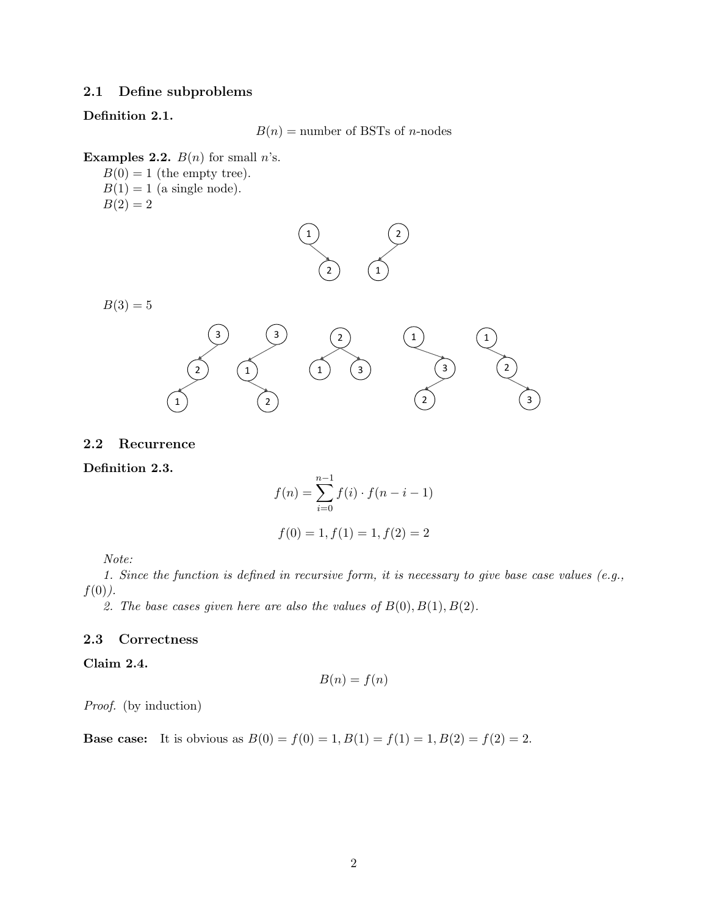## 2.1 Define subproblems

## Definition 2.1.

 $B(n)$  = number of BSTs of *n*-nodes

**Examples 2.2.**  $B(n)$  for small n's.

 $B(0) = 1$  (the empty tree).  $B(1) = 1$  (a single node).  $B(2) = 2$ 



#### 2.2 Recurrence

Definition 2.3.

$$
f(n) = \sum_{i=0}^{n-1} f(i) \cdot f(n-i-1)
$$

$$
f(0) = 1, f(1) = 1, f(2) = 2
$$

Note:

1. Since the function is defined in recursive form, it is necessary to give base case values (e.g.,  $f(0)$ .

2. The base cases given here are also the values of  $B(0), B(1), B(2)$ .

#### 2.3 Correctness

## Claim 2.4.

$$
B(n)=f(n)
$$

Proof. (by induction)

**Base case:** It is obvious as  $B(0) = f(0) = 1, B(1) = f(1) = 1, B(2) = f(2) = 2.$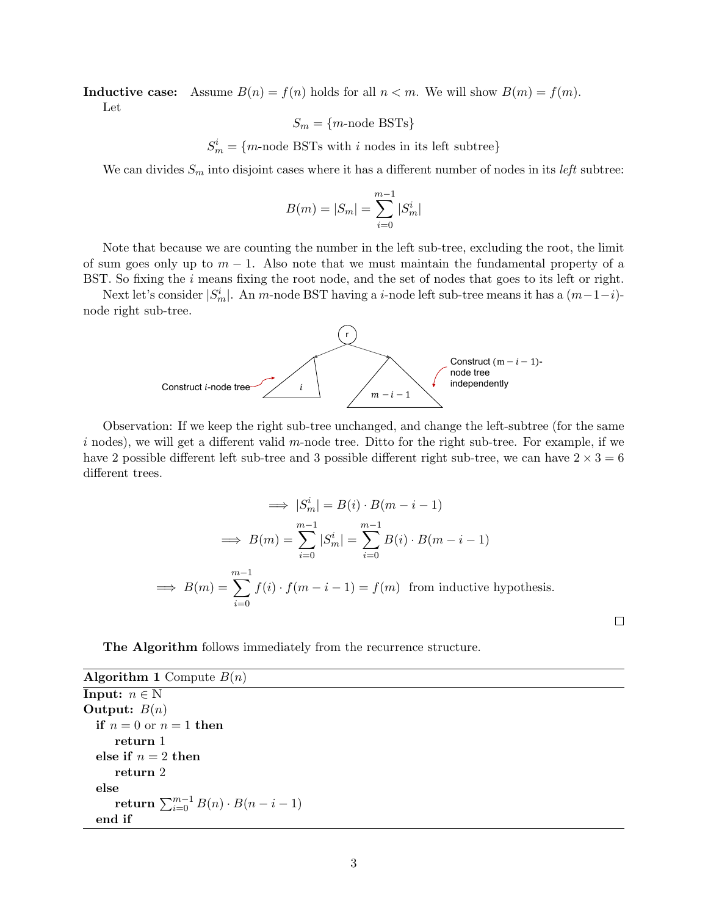**Inductive case:** Assume  $B(n) = f(n)$  holds for all  $n < m$ . We will show  $B(m) = f(m)$ . Let

 $S_m = \{m\text{-node BSTs}\}$ 

 $S_m^i = \{m\text{-node BSTs with } i \text{ nodes in its left subtree}\}$ 

We can divides  $S_m$  into disjoint cases where it has a different number of nodes in its *left* subtree:

$$
B(m) = |S_m| = \sum_{i=0}^{m-1} |S_m^i|
$$

Note that because we are counting the number in the left sub-tree, excluding the root, the limit of sum goes only up to  $m-1$ . Also note that we must maintain the fundamental property of a BST. So fixing the *i* means fixing the root node, and the set of nodes that goes to its left or right.

Next let's consider  $|S_m^i|$ . An m-node BST having a *i*-node left sub-tree means it has a  $(m-1-i)$ node right sub-tree.



Observation: If we keep the right sub-tree unchanged, and change the left-subtree (for the same i nodes), we will get a different valid m-node tree. Ditto for the right sub-tree. For example, if we have 2 possible different left sub-tree and 3 possible different right sub-tree, we can have  $2 \times 3 = 6$ different trees.

$$
\implies |S_m^i| = B(i) \cdot B(m - i - 1)
$$

$$
\implies B(m) = \sum_{i=0}^{m-1} |S_m^i| = \sum_{i=0}^{m-1} B(i) \cdot B(m - i - 1)
$$

$$
\implies B(m) = \sum_{i=0}^{m-1} f(i) \cdot f(m - i - 1) = f(m) \text{ from inductive hypothesis.}
$$

 $\Box$ 

The Algorithm follows immediately from the recurrence structure.

Algorithm 1 Compute  $B(n)$ **Input:**  $n \in \mathbb{N}$ Output:  $B(n)$ if  $n = 0$  or  $n = 1$  then return 1 else if  $n = 2$  then return 2 else return  $\sum_{i=0}^{m-1}B(n)\cdot B(n-i-1)$ end if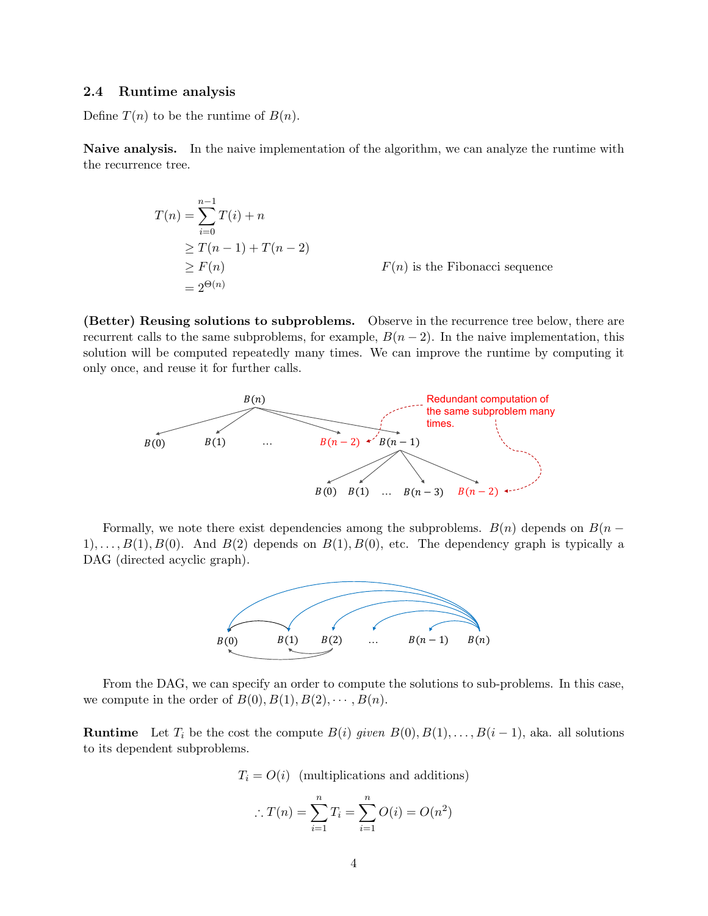#### 2.4 Runtime analysis

Define  $T(n)$  to be the runtime of  $B(n)$ .

Naive analysis. In the naive implementation of the algorithm, we can analyze the runtime with the recurrence tree.

$$
T(n) = \sum_{i=0}^{n-1} T(i) + n
$$
  
\n
$$
\geq T(n-1) + T(n-2)
$$
  
\n
$$
\geq F(n)
$$
  
\n
$$
= 2^{\Theta(n)}
$$
  
\n
$$
F(n)
$$
 is the Fibonacci sequence

(Better) Reusing solutions to subproblems. Observe in the recurrence tree below, there are recurrent calls to the same subproblems, for example,  $B(n-2)$ . In the naive implementation, this solution will be computed repeatedly many times. We can improve the runtime by computing it only once, and reuse it for further calls.



Formally, we note there exist dependencies among the subproblems.  $B(n)$  depends on  $B(n 1), \ldots, B(1), B(0)$ . And  $B(2)$  depends on  $B(1), B(0)$ , etc. The dependency graph is typically a DAG (directed acyclic graph).



From the DAG, we can specify an order to compute the solutions to sub-problems. In this case, we compute in the order of  $B(0), B(1), B(2), \cdots, B(n)$ .

**Runtime** Let  $T_i$  be the cost the compute  $B(i)$  given  $B(0), B(1), \ldots, B(i-1)$ , aka. all solutions to its dependent subproblems.

 $T_i = O(i)$  (multiplications and additions)

$$
\therefore T(n) = \sum_{i=1}^{n} T_i = \sum_{i=1}^{n} O(i) = O(n^2)
$$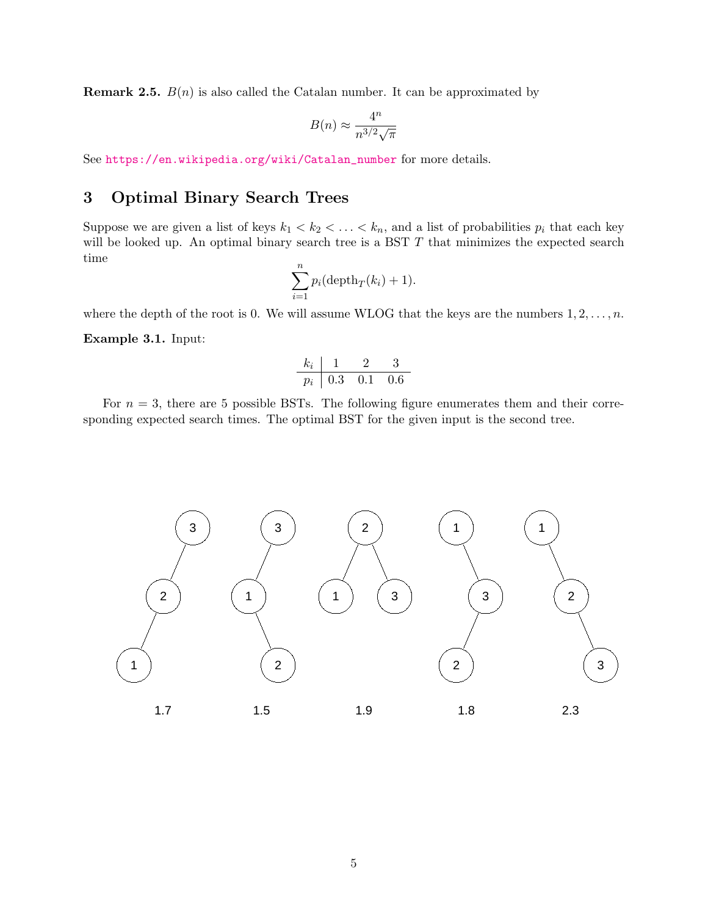**Remark 2.5.**  $B(n)$  is also called the Catalan number. It can be approximated by

$$
B(n) \approx \frac{4^n}{n^{3/2}\sqrt{\pi}}
$$

See [https://en.wikipedia.org/wiki/Catalan\\_number](https://en.wikipedia.org/wiki/Catalan_number) for more details.

# 3 Optimal Binary Search Trees

Suppose we are given a list of keys  $k_1 < k_2 < \ldots < k_n$ , and a list of probabilities  $p_i$  that each key will be looked up. An optimal binary search tree is a BST  $T$  that minimizes the expected search time

$$
\sum_{i=1}^{n} p_i(\text{depth}_T(k_i) + 1).
$$

where the depth of the root is 0. We will assume WLOG that the keys are the numbers  $1, 2, \ldots, n$ .

Example 3.1. Input:

$$
\begin{array}{c|cc} k_i & 1 & 2 & 3 \\ \hline p_i & 0.3 & 0.1 & 0.6 \\ \end{array}
$$

For  $n = 3$ , there are 5 possible BSTs. The following figure enumerates them and their corresponding expected search times. The optimal BST for the given input is the second tree.

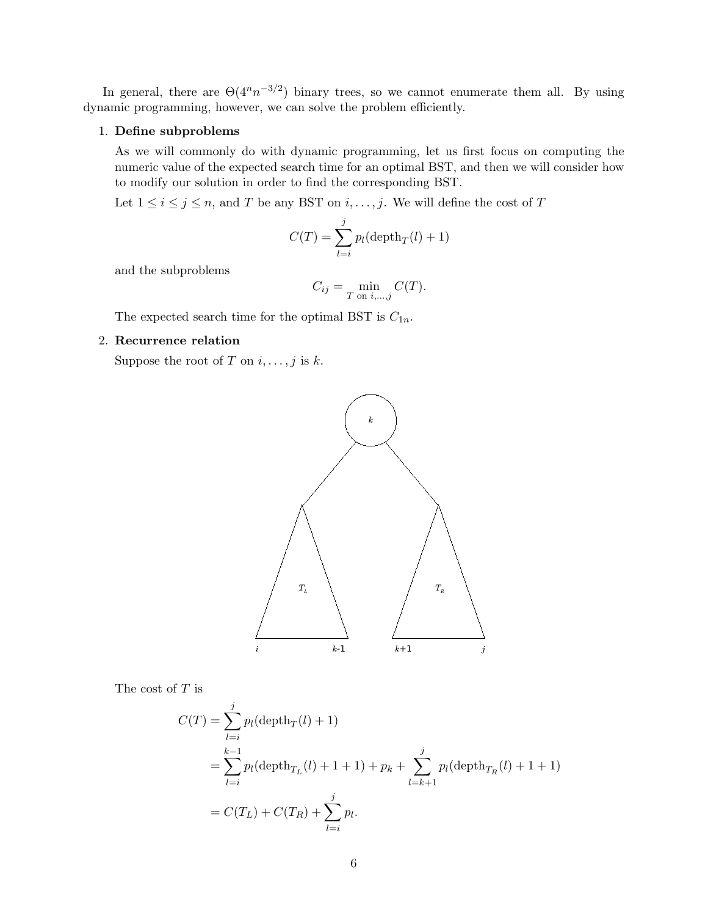In general, there are  $\Theta(4^n n^{-3/2})$  binary trees, so we cannot enumerate them all. By using dynamic programming, however, we can solve the problem efficiently.

#### 1. Define subproblems

As we will commonly do with dynamic programming, let us first focus on computing the numeric value of the expected search time for an optimal BST, and then we will consider how to modify our solution in order to find the corresponding BST.

Let  $1\leq i\leq j\leq n,$  and  $T$  be any BST on  $i,\ldots,j.$  We will define the cost of  $T$ 

$$
C(T) = \sum_{l=i}^{j} p_l(\text{depth}_T(l) + 1)
$$

and the subproblems

$$
C_{ij} = \min_{T \text{ on } i, \dots, j} C(T).
$$

The expected search time for the optimal BST is  $C_{1n}$ .

#### 2. Recurrence relation

Suppose the root of T on  $i, \ldots, j$  is  $k$ .



The cost of  $T$  is

$$
C(T) = \sum_{l=i}^{j} p_l (\text{depth}_T(l) + 1)
$$
  
= 
$$
\sum_{l=i}^{k-1} p_l (\text{depth}_{T_L}(l) + 1 + 1) + p_k + \sum_{l=k+1}^{j} p_l (\text{depth}_{T_R}(l) + 1 + 1)
$$
  
= 
$$
C(T_L) + C(T_R) + \sum_{l=i}^{j} p_l.
$$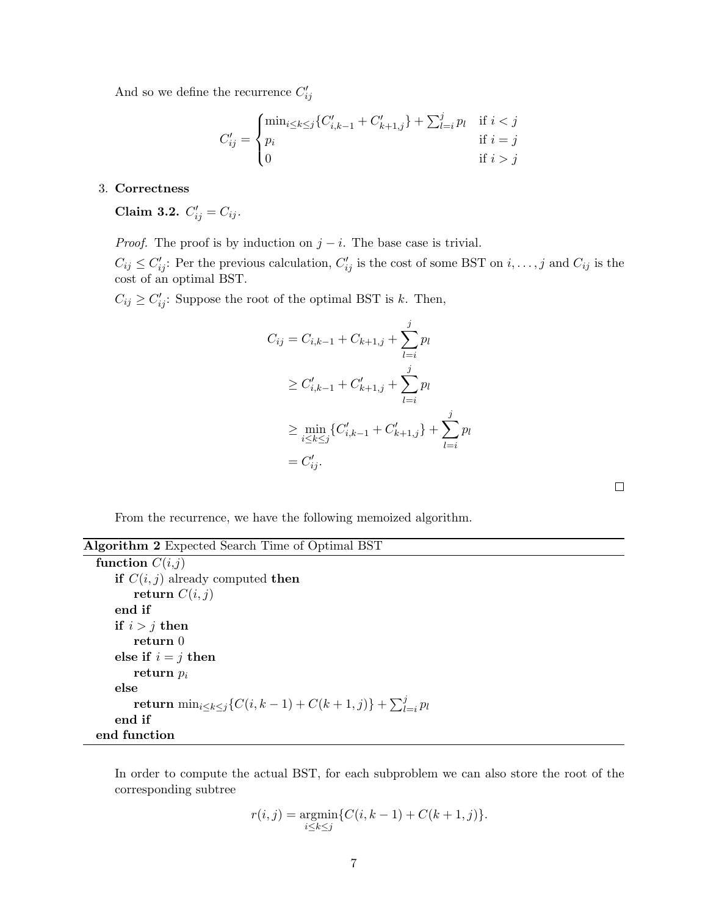And so we define the recurrence  $C'_{ij}$ 

$$
C'_{ij} = \begin{cases} \min_{i \le k \le j} \{C'_{i,k-1} + C'_{k+1,j}\} + \sum_{l=i}^{j} p_l & \text{if } i < j \\ p_i & \text{if } i = j \\ 0 & \text{if } i > j \end{cases}
$$

#### 3. Correctness

Claim 3.2.  $C'_{ij} = C_{ij}$ .

*Proof.* The proof is by induction on  $j - i$ . The base case is trivial.

 $C_{ij} \leq C'_{ij}$ : Per the previous calculation,  $C'_{ij}$  is the cost of some BST on  $i, \ldots, j$  and  $C_{ij}$  is the cost of an optimal BST.

 $C_{ij} \geq C'_{ij}$ : Suppose the root of the optimal BST is k. Then,

$$
C_{ij} = C_{i,k-1} + C_{k+1,j} + \sum_{l=i}^{j} p_l
$$
  
\n
$$
\geq C'_{i,k-1} + C'_{k+1,j} + \sum_{l=i}^{j} p_l
$$
  
\n
$$
\geq \min_{i \leq k \leq j} \{C'_{i,k-1} + C'_{k+1,j}\} + \sum_{l=i}^{j} p_l
$$
  
\n
$$
= C'_{ij}.
$$

From the recurrence, we have the following memoized algorithm.

## Algorithm 2 Expected Search Time of Optimal BST

```
function C(i,j)if C(i, j) already computed then
       return C(i, j)end if
   if i > j then
       return 0
   else if i = j then
       return p_ielse
        return \min_{i \leq k \leq j} \{ C(i, k - 1) + C(k + 1, j) \} + \sum_{l = i}^{j} p_lend if
end function
```
In order to compute the actual BST, for each subproblem we can also store the root of the corresponding subtree

$$
r(i,j) = \underset{i \le k \le j}{\text{argmin}} \{ C(i, k-1) + C(k+1, j) \}.
$$